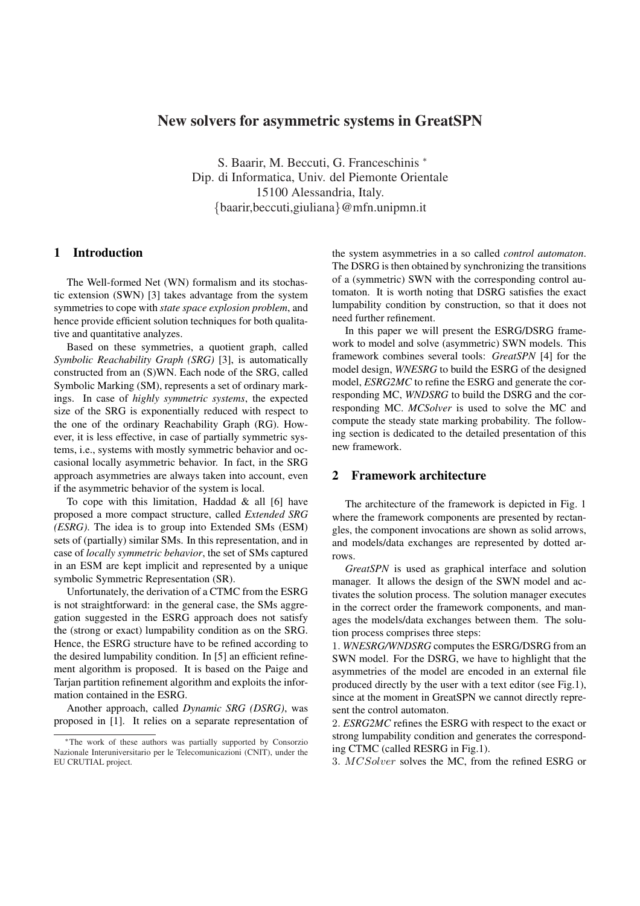# New solvers for asymmetric systems in GreatSPN

S. Baarir, M. Beccuti, G. Franceschinis <sup>∗</sup> Dip. di Informatica, Univ. del Piemonte Orientale 15100 Alessandria, Italy. {baarir,beccuti,giuliana}@mfn.unipmn.it

## 1 Introduction

The Well-formed Net (WN) formalism and its stochastic extension (SWN) [3] takes advantage from the system symmetries to cope with *state space explosion problem*, and hence provide efficient solution techniques for both qualitative and quantitative analyzes.

Based on these symmetries, a quotient graph, called *Symbolic Reachability Graph (SRG)* [3], is automatically constructed from an (S)WN. Each node of the SRG, called Symbolic Marking (SM), represents a set of ordinary markings. In case of *highly symmetric systems*, the expected size of the SRG is exponentially reduced with respect to the one of the ordinary Reachability Graph (RG). However, it is less effective, in case of partially symmetric systems, i.e., systems with mostly symmetric behavior and occasional locally asymmetric behavior. In fact, in the SRG approach asymmetries are always taken into account, even if the asymmetric behavior of the system is local.

To cope with this limitation, Haddad  $\&$  all [6] have proposed a more compact structure, called *Extended SRG (ESRG)*. The idea is to group into Extended SMs (ESM) sets of (partially) similar SMs. In this representation, and in case of *locally symmetric behavior*, the set of SMs captured in an ESM are kept implicit and represented by a unique symbolic Symmetric Representation (SR).

Unfortunately, the derivation of a CTMC from the ESRG is not straightforward: in the general case, the SMs aggregation suggested in the ESRG approach does not satisfy the (strong or exact) lumpability condition as on the SRG. Hence, the ESRG structure have to be refined according to the desired lumpability condition. In [5] an efficient refinement algorithm is proposed. It is based on the Paige and Tarjan partition refinement algorithm and exploits the information contained in the ESRG.

Another approach, called *Dynamic SRG (DSRG)*, was proposed in [1]. It relies on a separate representation of the system asymmetries in a so called *control automaton*. The DSRG is then obtained by synchronizing the transitions of a (symmetric) SWN with the corresponding control automaton. It is worth noting that DSRG satisfies the exact lumpability condition by construction, so that it does not need further refinement.

In this paper we will present the ESRG/DSRG framework to model and solve (asymmetric) SWN models. This framework combines several tools: *GreatSPN* [4] for the model design, *WNESRG* to build the ESRG of the designed model, *ESRG2MC* to refine the ESRG and generate the corresponding MC, *WNDSRG* to build the DSRG and the corresponding MC. *MCSolver* is used to solve the MC and compute the steady state marking probability. The following section is dedicated to the detailed presentation of this new framework.

### 2 Framework architecture

The architecture of the framework is depicted in Fig. 1 where the framework components are presented by rectangles, the component invocations are shown as solid arrows, and models/data exchanges are represented by dotted arrows.

*GreatSPN* is used as graphical interface and solution manager. It allows the design of the SWN model and activates the solution process. The solution manager executes in the correct order the framework components, and manages the models/data exchanges between them. The solution process comprises three steps:

1. *WNESRG/WNDSRG* computes the ESRG/DSRG from an SWN model. For the DSRG, we have to highlight that the asymmetries of the model are encoded in an external file produced directly by the user with a text editor (see Fig.1), since at the moment in GreatSPN we cannot directly represent the control automaton.

2. *ESRG2MC* refines the ESRG with respect to the exact or strong lumpability condition and generates the corresponding CTMC (called RESRG in Fig.1).

3. MCSolver solves the MC, from the refined ESRG or

<sup>∗</sup>The work of these authors was partially supported by Consorzio Nazionale Interuniversitario per le Telecomunicazioni (CNIT), under the EU CRUTIAL project.